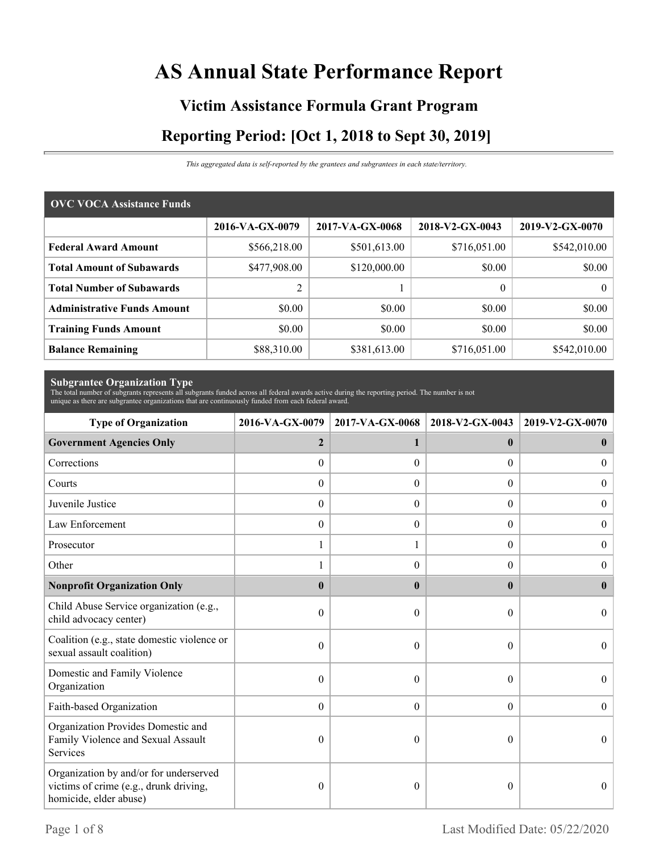# **AS Annual State Performance Report**

# **Victim Assistance Formula Grant Program Reporting Period: [Oct 1, 2018 to Sept 30, 2019]**

*This aggregated data is self-reported by the grantees and subgrantees in each state/territory.*

| <b>OVC VOCA Assistance Funds</b>   |                 |                 |                 |                 |  |  |  |
|------------------------------------|-----------------|-----------------|-----------------|-----------------|--|--|--|
|                                    | 2016-VA-GX-0079 | 2017-VA-GX-0068 | 2018-V2-GX-0043 | 2019-V2-GX-0070 |  |  |  |
| <b>Federal Award Amount</b>        | \$566,218.00    | \$501,613.00    | \$716,051.00    | \$542,010.00    |  |  |  |
| <b>Total Amount of Subawards</b>   | \$477,908.00    | \$120,000.00    | \$0.00          | \$0.00          |  |  |  |
| <b>Total Number of Subawards</b>   | $\overline{c}$  |                 | $\theta$        | $\theta$        |  |  |  |
| <b>Administrative Funds Amount</b> | \$0.00          | \$0.00          | \$0.00          | \$0.00          |  |  |  |
| <b>Training Funds Amount</b>       | \$0.00          | \$0.00          | \$0.00          | \$0.00          |  |  |  |
| <b>Balance Remaining</b>           | \$88,310.00     | \$381,613.00    | \$716,051.00    | \$542,010.00    |  |  |  |

**Subgrantee Organization Type** The total number of subgrants represents all subgrants funded across all federal awards active during the reporting period. The number is not unique as there are subgrantee organizations that are continuously funded from each federal award.

| <b>Type of Organization</b>                                                                                | 2016-VA-GX-0079  | 2017-VA-GX-0068  | 2018-V2-GX-0043  | 2019-V2-GX-0070  |
|------------------------------------------------------------------------------------------------------------|------------------|------------------|------------------|------------------|
| <b>Government Agencies Only</b>                                                                            | $\overline{2}$   | 1                | $\mathbf{0}$     | $\bf{0}$         |
| Corrections                                                                                                | $\boldsymbol{0}$ | $\Omega$         | 0                | $\theta$         |
| Courts                                                                                                     | $\boldsymbol{0}$ | $\Omega$         | $\Omega$         | $\Omega$         |
| Juvenile Justice                                                                                           | $\boldsymbol{0}$ | $\boldsymbol{0}$ | $\boldsymbol{0}$ | $\overline{0}$   |
| Law Enforcement                                                                                            | $\boldsymbol{0}$ | $\boldsymbol{0}$ | $\boldsymbol{0}$ | $\boldsymbol{0}$ |
| Prosecutor                                                                                                 | 1                |                  | $\Omega$         | $\overline{0}$   |
| Other                                                                                                      |                  | $\Omega$         | 0                | $\Omega$         |
| <b>Nonprofit Organization Only</b>                                                                         | $\bf{0}$         | $\mathbf{0}$     | $\mathbf{0}$     | $\mathbf{0}$     |
| Child Abuse Service organization (e.g.,<br>child advocacy center)                                          | $\boldsymbol{0}$ | $\Omega$         | $\theta$         | $\Omega$         |
| Coalition (e.g., state domestic violence or<br>sexual assault coalition)                                   | 0                | $\theta$         | $\theta$         | $\theta$         |
| Domestic and Family Violence<br>Organization                                                               | 0                | $\Omega$         | $\theta$         | $\Omega$         |
| Faith-based Organization                                                                                   | $\mathbf{0}$     | $\boldsymbol{0}$ | $\overline{0}$   | $\theta$         |
| Organization Provides Domestic and<br>Family Violence and Sexual Assault<br>Services                       | 0                | $\theta$         | 0                | $\theta$         |
| Organization by and/or for underserved<br>victims of crime (e.g., drunk driving,<br>homicide, elder abuse) | 0                | $\theta$         | 0                | $\theta$         |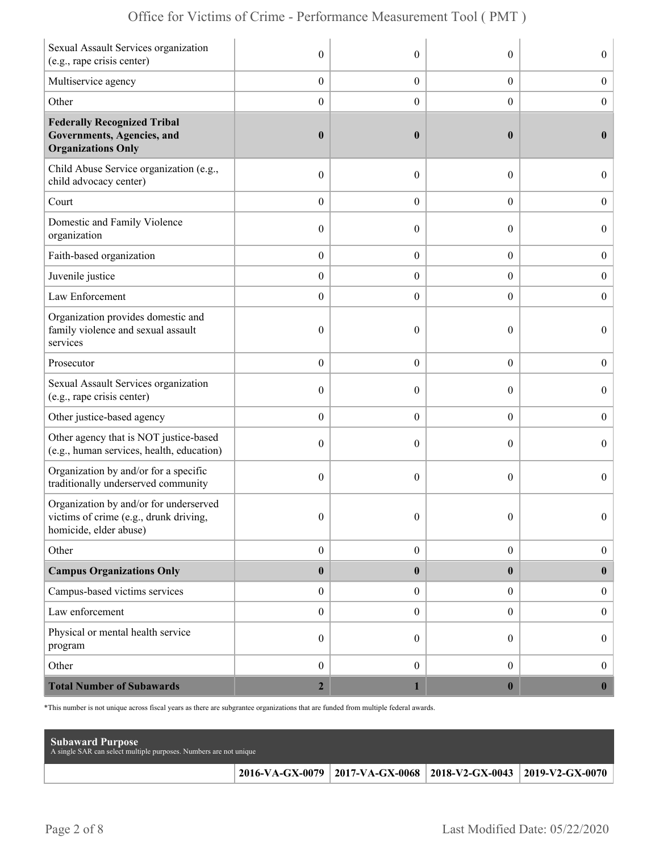| Sexual Assault Services organization<br>(e.g., rape crisis center)                                        | $\boldsymbol{0}$ | $\theta$         | $\theta$         | $\overline{0}$   |
|-----------------------------------------------------------------------------------------------------------|------------------|------------------|------------------|------------------|
| Multiservice agency                                                                                       | $\boldsymbol{0}$ | $\boldsymbol{0}$ | $\boldsymbol{0}$ | $\boldsymbol{0}$ |
| Other                                                                                                     | $\boldsymbol{0}$ | $\overline{0}$   | $\boldsymbol{0}$ | $\boldsymbol{0}$ |
| <b>Federally Recognized Tribal</b><br>Governments, Agencies, and<br><b>Organizations Only</b>             | $\boldsymbol{0}$ | $\boldsymbol{0}$ | $\bf{0}$         | $\mathbf{0}$     |
| Child Abuse Service organization (e.g.,<br>child advocacy center)                                         | $\boldsymbol{0}$ | $\theta$         | $\theta$         | $\overline{0}$   |
| Court                                                                                                     | $\boldsymbol{0}$ | $\theta$         | $\overline{0}$   | $\overline{0}$   |
| Domestic and Family Violence<br>organization                                                              | $\boldsymbol{0}$ | $\theta$         | $\theta$         | $\overline{0}$   |
| Faith-based organization                                                                                  | $\boldsymbol{0}$ | $\boldsymbol{0}$ | $\boldsymbol{0}$ | $\boldsymbol{0}$ |
| Juvenile justice                                                                                          | $\boldsymbol{0}$ | $\overline{0}$   | $\boldsymbol{0}$ | $\boldsymbol{0}$ |
| Law Enforcement                                                                                           | $\boldsymbol{0}$ | $\theta$         | $\theta$         | $\mathbf{0}$     |
| Organization provides domestic and<br>family violence and sexual assault<br>services                      | $\boldsymbol{0}$ | $\mathbf{0}$     | $\theta$         | $\overline{0}$   |
| Prosecutor                                                                                                | $\boldsymbol{0}$ | $\theta$         | $\overline{0}$   | $\boldsymbol{0}$ |
| Sexual Assault Services organization<br>(e.g., rape crisis center)                                        | $\boldsymbol{0}$ | $\theta$         | $\theta$         | $\overline{0}$   |
| Other justice-based agency                                                                                | $\boldsymbol{0}$ | $\boldsymbol{0}$ | $\boldsymbol{0}$ | $\boldsymbol{0}$ |
| Other agency that is NOT justice-based<br>(e.g., human services, health, education)                       | $\boldsymbol{0}$ | $\theta$         | $\theta$         | $\boldsymbol{0}$ |
| Organization by and/or for a specific<br>traditionally underserved community                              | $\mathbf{0}$     | $\theta$         | $\theta$         | $\overline{0}$   |
| Organization by and/or for underserved<br>victims of crime (e.g., drunk driving<br>homicide, elder abuse) | $\boldsymbol{0}$ | $\boldsymbol{0}$ | $\Omega$         | $\theta$         |
| Other                                                                                                     | $\boldsymbol{0}$ | $\boldsymbol{0}$ | $\boldsymbol{0}$ | $\boldsymbol{0}$ |
| <b>Campus Organizations Only</b>                                                                          | $\pmb{0}$        | $\bf{0}$         | $\bf{0}$         | $\bf{0}$         |
| Campus-based victims services                                                                             | $\boldsymbol{0}$ | $\overline{0}$   | $\overline{0}$   | $\boldsymbol{0}$ |
| Law enforcement                                                                                           | $\boldsymbol{0}$ | $\mathbf{0}$     | $\overline{0}$   | $\boldsymbol{0}$ |
| Physical or mental health service<br>program                                                              | $\boldsymbol{0}$ | $\overline{0}$   | $\overline{0}$   | $\boldsymbol{0}$ |
| Other                                                                                                     | $\boldsymbol{0}$ | $\mathbf{0}$     | $\overline{0}$   | $\mathbf{0}$     |
| <b>Total Number of Subawards</b>                                                                          | $\mathbf{2}$     |                  | $\bf{0}$         | $\boldsymbol{0}$ |

\*This number is not unique across fiscal years as there are subgrantee organizations that are funded from multiple federal awards.

| <b>Subaward Purpose</b><br>A single SAR can select multiple purposes. Numbers are not unique |                                                                 |  |
|----------------------------------------------------------------------------------------------|-----------------------------------------------------------------|--|
|                                                                                              | 2016-VA-GX-0079 2017-VA-GX-0068 2018-V2-GX-0043 2019-V2-GX-0070 |  |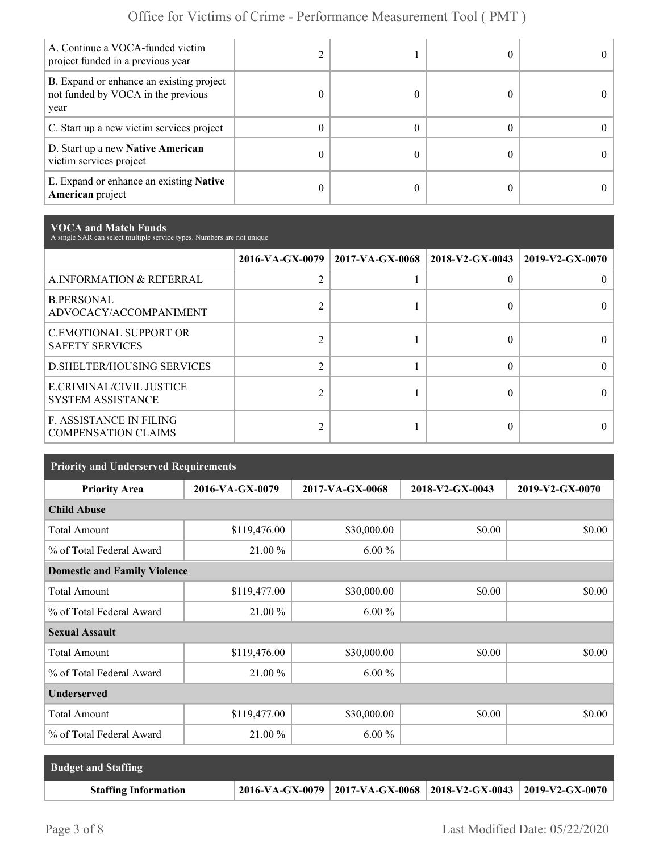| A. Continue a VOCA-funded victim<br>project funded in a previous year                  |          |  |  |
|----------------------------------------------------------------------------------------|----------|--|--|
| B. Expand or enhance an existing project<br>not funded by VOCA in the previous<br>year |          |  |  |
| C. Start up a new victim services project                                              | 0        |  |  |
| D. Start up a new Native American<br>victim services project                           |          |  |  |
| E. Expand or enhance an existing <b>Native</b><br><b>American</b> project              | $^{(1)}$ |  |  |

**VOCA and Match Funds** A single SAR can select multiple service types. Numbers are not unique

|                                                              | 2016-VA-GX-0079 | $\mid$ 2017-VA-GX-0068 $\mid$ 2018-V2-GX-0043 |   | 2019-V2-GX-0070 |
|--------------------------------------------------------------|-----------------|-----------------------------------------------|---|-----------------|
| A.INFORMATION & REFERRAL                                     | $\overline{2}$  |                                               | 0 |                 |
| <b>B.PERSONAL</b><br>ADVOCACY/ACCOMPANIMENT                  |                 |                                               | 0 |                 |
| <b>C.EMOTIONAL SUPPORT OR</b><br><b>SAFETY SERVICES</b>      | ↑               |                                               |   |                 |
| <b>D.SHELTER/HOUSING SERVICES</b>                            | $\overline{2}$  |                                               | 0 |                 |
| E.CRIMINAL/CIVIL JUSTICE<br><b>SYSTEM ASSISTANCE</b>         | $\mathfrak{D}$  |                                               |   |                 |
| <b>F. ASSISTANCE IN FILING</b><br><b>COMPENSATION CLAIMS</b> | C               |                                               | 0 |                 |

| <b>Priority and Underserved Requirements</b> |                 |                 |                 |                 |  |  |  |
|----------------------------------------------|-----------------|-----------------|-----------------|-----------------|--|--|--|
| <b>Priority Area</b>                         | 2016-VA-GX-0079 | 2017-VA-GX-0068 | 2018-V2-GX-0043 | 2019-V2-GX-0070 |  |  |  |
| <b>Child Abuse</b>                           |                 |                 |                 |                 |  |  |  |
| <b>Total Amount</b>                          | \$119,476.00    | \$30,000.00     | \$0.00          | \$0.00          |  |  |  |
| % of Total Federal Award                     | 21.00 %         | $6.00\%$        |                 |                 |  |  |  |
| <b>Domestic and Family Violence</b>          |                 |                 |                 |                 |  |  |  |
| <b>Total Amount</b>                          | \$119,477.00    | \$30,000.00     | \$0.00          | \$0.00          |  |  |  |
| % of Total Federal Award                     | 21.00 %         | $6.00\%$        |                 |                 |  |  |  |
| <b>Sexual Assault</b>                        |                 |                 |                 |                 |  |  |  |
| <b>Total Amount</b>                          | \$119,476.00    | \$30,000.00     | \$0.00          | \$0.00          |  |  |  |
| % of Total Federal Award                     | 21.00 %         | $6.00\%$        |                 |                 |  |  |  |
| <b>Underserved</b>                           |                 |                 |                 |                 |  |  |  |
| <b>Total Amount</b>                          | \$119,477.00    | \$30,000.00     | \$0.00          | \$0.00          |  |  |  |
| % of Total Federal Award                     | 21.00 %         | $6.00\%$        |                 |                 |  |  |  |

| <b>Budget and Staffing</b>  |                                                                 |  |
|-----------------------------|-----------------------------------------------------------------|--|
| <b>Staffing Information</b> | 2016-VA-GX-0079 2017-VA-GX-0068 2018-V2-GX-0043 2019-V2-GX-0070 |  |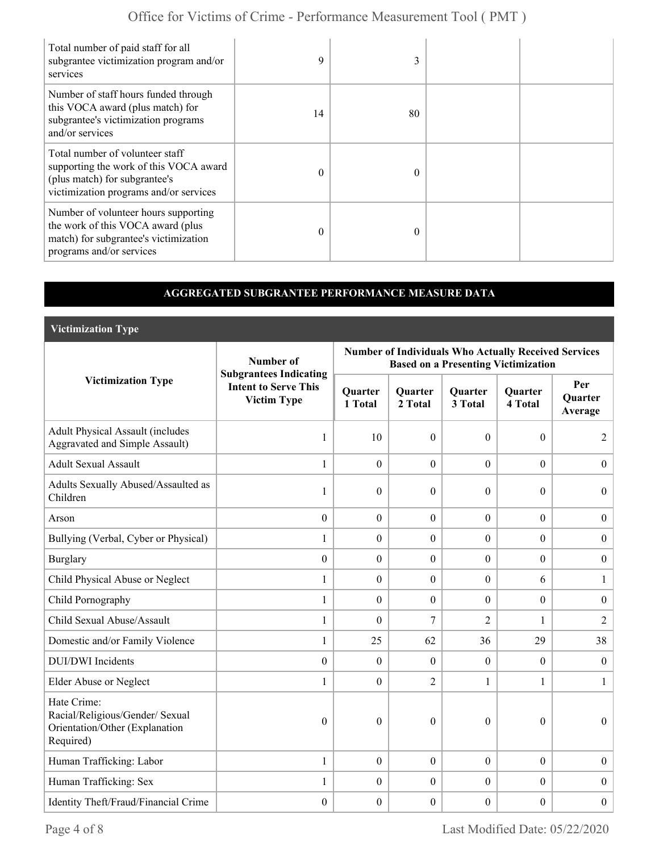| Total number of paid staff for all<br>subgrantee victimization program and/or<br>services                                                            | 9        |          |  |
|------------------------------------------------------------------------------------------------------------------------------------------------------|----------|----------|--|
| Number of staff hours funded through<br>this VOCA award (plus match) for<br>subgrantee's victimization programs<br>and/or services                   | 14       | 80       |  |
| Total number of volunteer staff<br>supporting the work of this VOCA award<br>(plus match) for subgrantee's<br>victimization programs and/or services | $\Omega$ | $\Omega$ |  |
| Number of volunteer hours supporting<br>the work of this VOCA award (plus<br>match) for subgrantee's victimization<br>programs and/or services       | $\theta$ |          |  |

#### **AGGREGATED SUBGRANTEE PERFORMANCE MEASURE DATA**

**Victimization Type**

|                                                                                               | Number of                                                                          | <b>Number of Individuals Who Actually Received Services</b><br><b>Based on a Presenting Victimization</b> |                           |                           |                           |                                  |  |
|-----------------------------------------------------------------------------------------------|------------------------------------------------------------------------------------|-----------------------------------------------------------------------------------------------------------|---------------------------|---------------------------|---------------------------|----------------------------------|--|
| <b>Victimization Type</b>                                                                     | <b>Subgrantees Indicating</b><br><b>Intent to Serve This</b><br><b>Victim Type</b> | <b>Quarter</b><br>1 Total                                                                                 | <b>Ouarter</b><br>2 Total | <b>Ouarter</b><br>3 Total | <b>Ouarter</b><br>4 Total | Per<br><b>Quarter</b><br>Average |  |
| <b>Adult Physical Assault (includes</b><br><b>Aggravated and Simple Assault)</b>              | 1                                                                                  | 10                                                                                                        | $\theta$                  | $\theta$                  | $\Omega$                  | 2                                |  |
| <b>Adult Sexual Assault</b>                                                                   | 1                                                                                  | $\overline{0}$                                                                                            | $\mathbf{0}$              | $\overline{0}$            | $\theta$                  | $\overline{0}$                   |  |
| Adults Sexually Abused/Assaulted as<br>Children                                               | 1                                                                                  | $\theta$                                                                                                  | $\theta$                  | $\boldsymbol{0}$          | $\theta$                  | $\Omega$                         |  |
| Arson                                                                                         | $\boldsymbol{0}$                                                                   | $\boldsymbol{0}$                                                                                          | $\boldsymbol{0}$          | $\boldsymbol{0}$          | $\boldsymbol{0}$          | $\overline{0}$                   |  |
| Bullying (Verbal, Cyber or Physical)                                                          | 1                                                                                  | $\overline{0}$                                                                                            | $\boldsymbol{0}$          | $\overline{0}$            | $\overline{0}$            | $\boldsymbol{0}$                 |  |
| <b>Burglary</b>                                                                               | $\mathbf{0}$                                                                       | $\boldsymbol{0}$                                                                                          | $\mathbf{0}$              | $\boldsymbol{0}$          | $\overline{0}$            | $\boldsymbol{0}$                 |  |
| Child Physical Abuse or Neglect                                                               | 1                                                                                  | $\theta$                                                                                                  | $\mathbf{0}$              | $\overline{0}$            | 6                         | 1                                |  |
| Child Pornography                                                                             | $\mathbf{1}$                                                                       | $\overline{0}$                                                                                            | $\mathbf{0}$              | $\overline{0}$            | $\overline{0}$            | $\overline{0}$                   |  |
| Child Sexual Abuse/Assault                                                                    | 1                                                                                  | $\overline{0}$                                                                                            | 7                         | $\overline{2}$            | 1                         | $\overline{2}$                   |  |
| Domestic and/or Family Violence                                                               | 1                                                                                  | 25                                                                                                        | 62                        | 36                        | 29                        | 38                               |  |
| <b>DUI/DWI</b> Incidents                                                                      | $\mathbf{0}$                                                                       | $\overline{0}$                                                                                            | $\mathbf{0}$              | $\boldsymbol{0}$          | $\theta$                  | $\boldsymbol{0}$                 |  |
| Elder Abuse or Neglect                                                                        | 1                                                                                  | $\theta$                                                                                                  | $\overline{2}$            | $\mathbf{1}$              | 1                         | $\mathbf{1}$                     |  |
| Hate Crime:<br>Racial/Religious/Gender/ Sexual<br>Orientation/Other (Explanation<br>Required) | $\theta$                                                                           | $\Omega$                                                                                                  | $\theta$                  | $\boldsymbol{0}$          | $\theta$                  | $\overline{0}$                   |  |
| Human Trafficking: Labor                                                                      | $\mathbf{1}$                                                                       | $\boldsymbol{0}$                                                                                          | $\mathbf{0}$              | $\boldsymbol{0}$          | $\theta$                  | $\boldsymbol{0}$                 |  |
| Human Trafficking: Sex                                                                        | 1                                                                                  | $\mathbf{0}$                                                                                              | $\mathbf{0}$              | $\boldsymbol{0}$          | $\theta$                  | $\overline{0}$                   |  |
| Identity Theft/Fraud/Financial Crime                                                          | $\mathbf{0}$                                                                       | $\boldsymbol{0}$                                                                                          | $\boldsymbol{0}$          | $\boldsymbol{0}$          | $\boldsymbol{0}$          | $\boldsymbol{0}$                 |  |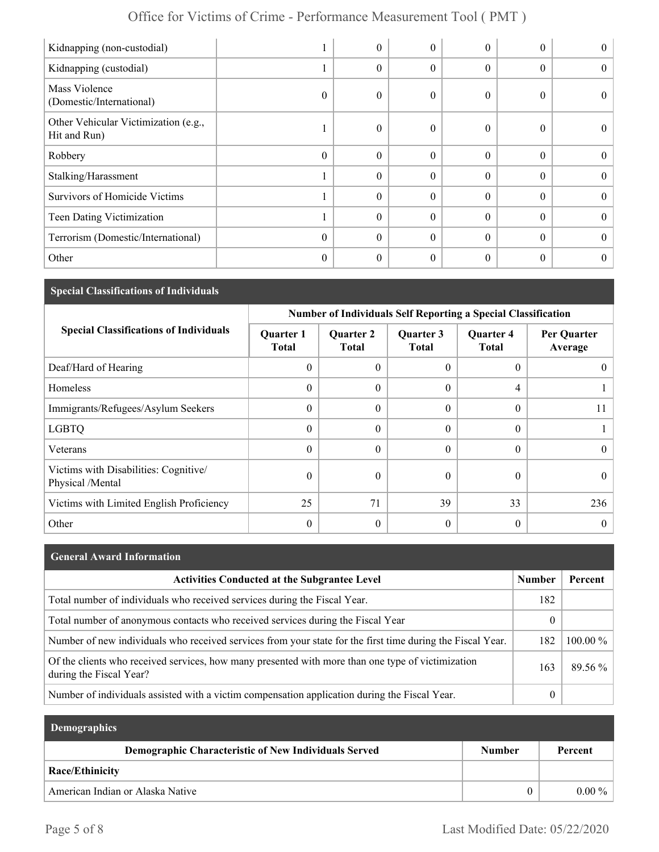| Kidnapping (non-custodial)                           |          | $\boldsymbol{0}$ | 0        | $\theta$     | $\theta$ | $\theta$       |
|------------------------------------------------------|----------|------------------|----------|--------------|----------|----------------|
| Kidnapping (custodial)                               |          | $\boldsymbol{0}$ | 0        | $\theta$     | $\theta$ | $\theta$       |
| Mass Violence<br>(Domestic/International)            | $\Omega$ | $\mathbf{0}$     | $\theta$ | $\theta$     | $\Omega$ | $\Omega$       |
| Other Vehicular Victimization (e.g.,<br>Hit and Run) |          | $\boldsymbol{0}$ | 0        | $\theta$     | $\theta$ | $\theta$       |
| Robbery                                              | $\Omega$ | $\theta$         | $\theta$ | $\theta$     | $\Omega$ | $\theta$       |
| Stalking/Harassment                                  |          | $\theta$         | $\theta$ | $\theta$     | $\Omega$ | $\theta$       |
| <b>Survivors of Homicide Victims</b>                 |          | $\theta$         | $\theta$ | $\theta$     | $\theta$ | $\theta$       |
| Teen Dating Victimization                            |          | $\boldsymbol{0}$ | 0        | $\mathbf{0}$ | $\theta$ | $\theta$       |
| Terrorism (Domestic/International)                   | $\Omega$ | $\theta$         | $\Omega$ | $\Omega$     | $\Omega$ | $\theta$       |
| Other                                                | $\theta$ | $\boldsymbol{0}$ | 0        | $\mathbf{0}$ | $\theta$ | $\overline{0}$ |

#### **Special Classifications of Individuals**

|                                                           | <b>Number of Individuals Self Reporting a Special Classification</b> |                                  |                           |                                  |                        |  |
|-----------------------------------------------------------|----------------------------------------------------------------------|----------------------------------|---------------------------|----------------------------------|------------------------|--|
| <b>Special Classifications of Individuals</b>             | <b>Quarter 1</b><br><b>Total</b>                                     | <b>Quarter 2</b><br><b>Total</b> | Quarter 3<br><b>Total</b> | <b>Quarter 4</b><br><b>Total</b> | Per Quarter<br>Average |  |
| Deaf/Hard of Hearing                                      | $\theta$                                                             | $\theta$                         | $\theta$                  | 0                                |                        |  |
| Homeless                                                  | $\theta$                                                             | $\Omega$                         | $\Omega$                  | 4                                |                        |  |
| Immigrants/Refugees/Asylum Seekers                        | $\theta$                                                             | $\Omega$                         | $\Omega$                  | $\theta$                         |                        |  |
| <b>LGBTQ</b>                                              | $\theta$                                                             | $\Omega$                         | $\Omega$                  | $\boldsymbol{0}$                 |                        |  |
| Veterans                                                  | $\theta$                                                             | $\Omega$                         | $\Omega$                  | $\theta$                         | $\theta$               |  |
| Victims with Disabilities: Cognitive/<br>Physical /Mental | $\mathbf{0}$                                                         | $\theta$                         | $\theta$                  | 0                                | $_{0}$                 |  |
| Victims with Limited English Proficiency                  | 25                                                                   | 71                               | 39                        | 33                               | 236                    |  |
| Other                                                     | $\mathbf{0}$                                                         | $\theta$                         | $\theta$                  | 0                                | $_{0}$                 |  |

# **General Award Information** Activities Conducted at the Subgrantee Level **Number | Percent** | Number | Percent Total number of individuals who received services during the Fiscal Year. 182 Total number of anonymous contacts who received services during the Fiscal Year 0 Number of new individuals who received services from your state for the first time during the Fiscal Year. 182 100.00 % Of the clients who received services, how many presented with more than one type of victimization during the Fiscal Year? 89.56 % Number of individuals assisted with a victim compensation application during the Fiscal Year. 0

| <b>Demographics</b>                                  |               |          |  |
|------------------------------------------------------|---------------|----------|--|
| Demographic Characteristic of New Individuals Served | <b>Number</b> | Percent  |  |
| <b>Race/Ethinicity</b>                               |               |          |  |
| American Indian or Alaska Native                     | $\Omega$      | $0.00\%$ |  |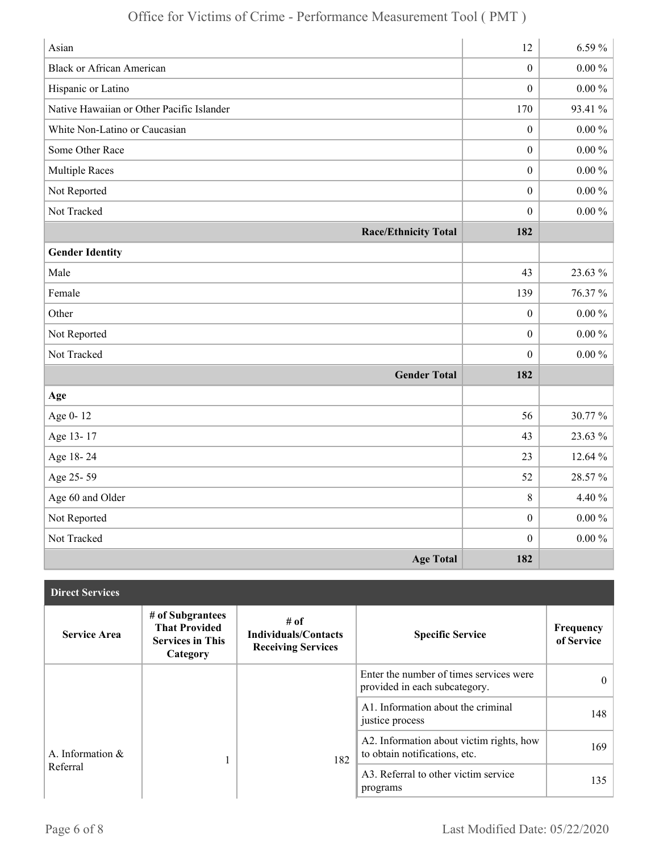| Asian                                     | 12               | 6.59%      |
|-------------------------------------------|------------------|------------|
| <b>Black or African American</b>          | $\boldsymbol{0}$ | $0.00\,\%$ |
| Hispanic or Latino                        | $\mathbf{0}$     | $0.00\,\%$ |
| Native Hawaiian or Other Pacific Islander | 170              | 93.41 %    |
| White Non-Latino or Caucasian             | $\boldsymbol{0}$ | $0.00\,\%$ |
| Some Other Race                           | $\mathbf{0}$     | $0.00\,\%$ |
| <b>Multiple Races</b>                     | $\boldsymbol{0}$ | $0.00\,\%$ |
| Not Reported                              | $\boldsymbol{0}$ | $0.00 \%$  |
| Not Tracked                               | $\boldsymbol{0}$ | $0.00\,\%$ |
| <b>Race/Ethnicity Total</b>               | 182              |            |
| <b>Gender Identity</b>                    |                  |            |
| Male                                      | 43               | 23.63 %    |
| Female                                    | 139              | 76.37%     |
| Other                                     | $\boldsymbol{0}$ | $0.00\,\%$ |
| Not Reported                              | $\mathbf{0}$     | $0.00\,\%$ |
| Not Tracked                               | $\boldsymbol{0}$ | $0.00\,\%$ |
| <b>Gender Total</b>                       | 182              |            |
| Age                                       |                  |            |
| Age 0-12                                  | 56               | 30.77 %    |
| Age 13-17                                 | 43               | 23.63 %    |
| Age 18-24                                 | 23               | 12.64 %    |
| Age 25-59                                 | 52               | 28.57%     |
| Age 60 and Older                          | 8                | 4.40 %     |
| Not Reported                              | $\boldsymbol{0}$ | $0.00\,\%$ |
| Not Tracked                               | $\mathbf{0}$     | $0.00\,\%$ |
| <b>Age Total</b>                          | 182              |            |

| <b>Direct Services</b>          |                                                                                 |                                                                  |                                                                           |                         |
|---------------------------------|---------------------------------------------------------------------------------|------------------------------------------------------------------|---------------------------------------------------------------------------|-------------------------|
| <b>Service Area</b>             | # of Subgrantees<br><b>That Provided</b><br><b>Services in This</b><br>Category | # of<br><b>Individuals/Contacts</b><br><b>Receiving Services</b> | <b>Specific Service</b>                                                   | Frequency<br>of Service |
|                                 |                                                                                 |                                                                  | Enter the number of times services were<br>provided in each subcategory.  | $\theta$                |
|                                 |                                                                                 |                                                                  | A1. Information about the criminal<br>justice process                     | 148                     |
| A. Information $\&$<br>Referral |                                                                                 | 182                                                              | A2. Information about victim rights, how<br>to obtain notifications, etc. | 169                     |
|                                 |                                                                                 |                                                                  | A3. Referral to other victim service<br>programs                          | 135                     |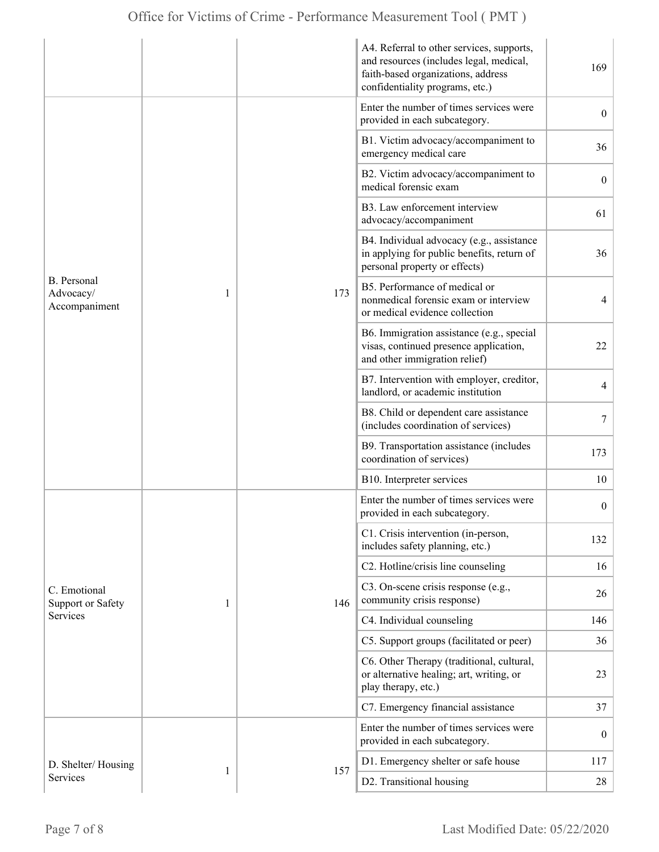|                                                  |   |     | A4. Referral to other services, supports,<br>and resources (includes legal, medical,<br>faith-based organizations, address<br>confidentiality programs, etc.) | 169              |
|--------------------------------------------------|---|-----|---------------------------------------------------------------------------------------------------------------------------------------------------------------|------------------|
| <b>B.</b> Personal<br>Advocacy/<br>Accompaniment |   | 173 | Enter the number of times services were<br>provided in each subcategory.                                                                                      | $\overline{0}$   |
|                                                  |   |     | B1. Victim advocacy/accompaniment to<br>emergency medical care                                                                                                | 36               |
|                                                  |   |     | B2. Victim advocacy/accompaniment to<br>medical forensic exam                                                                                                 | $\overline{0}$   |
|                                                  |   |     | B3. Law enforcement interview<br>advocacy/accompaniment                                                                                                       | 61               |
|                                                  | 1 |     | B4. Individual advocacy (e.g., assistance<br>in applying for public benefits, return of<br>personal property or effects)                                      | 36               |
|                                                  |   |     | B5. Performance of medical or<br>nonmedical forensic exam or interview<br>or medical evidence collection                                                      | 4                |
|                                                  |   |     | B6. Immigration assistance (e.g., special<br>visas, continued presence application,<br>and other immigration relief)                                          | 22               |
|                                                  |   |     | B7. Intervention with employer, creditor,<br>landlord, or academic institution                                                                                | $\overline{4}$   |
|                                                  |   |     | B8. Child or dependent care assistance<br>(includes coordination of services)                                                                                 | 7                |
|                                                  |   |     | B9. Transportation assistance (includes<br>coordination of services)                                                                                          | 173              |
|                                                  |   |     | B10. Interpreter services                                                                                                                                     | 10               |
| C. Emotional<br><b>Support or Safety</b>         | 1 | 146 | Enter the number of times services were<br>provided in each subcategory.                                                                                      | $\boldsymbol{0}$ |
|                                                  |   |     | C1. Crisis intervention (in-person,<br>includes safety planning, etc.)                                                                                        | 132              |
|                                                  |   |     | C2. Hotline/crisis line counseling                                                                                                                            | 16               |
|                                                  |   |     | C3. On-scene crisis response (e.g.,<br>community crisis response)                                                                                             | 26               |
| Services                                         |   |     | C4. Individual counseling                                                                                                                                     | 146              |
|                                                  |   |     | C5. Support groups (facilitated or peer)                                                                                                                      | 36               |
|                                                  |   |     | C6. Other Therapy (traditional, cultural,<br>or alternative healing; art, writing, or<br>play therapy, etc.)                                                  | 23               |
|                                                  |   |     | C7. Emergency financial assistance                                                                                                                            | 37               |
|                                                  |   |     | Enter the number of times services were<br>provided in each subcategory.                                                                                      | $\boldsymbol{0}$ |
| D. Shelter/Housing                               |   |     | D1. Emergency shelter or safe house                                                                                                                           | 117              |
| Services                                         | 1 | 157 | D2. Transitional housing                                                                                                                                      | 28               |